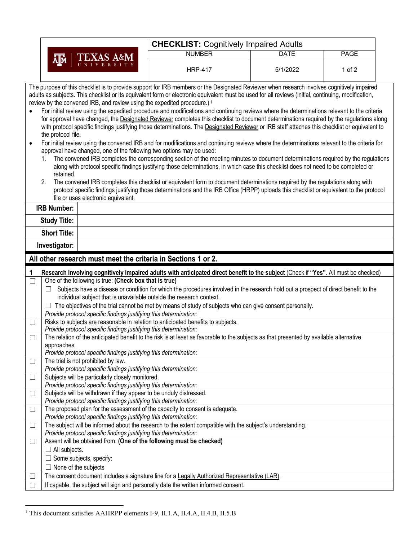|           |                                                                                                                                                                                                                                                                                                                                                                                                                                                                                                                                                                                                                                                                                                                                                                                                                                                                                                                                                                                                                                                                                                                                                                                                                                                                                                                                                                                                                                                                                                                        | <b>CHECKLIST: Cognitively Impaired Adults</b>                                                                                             |             |        |  |  |  |
|-----------|------------------------------------------------------------------------------------------------------------------------------------------------------------------------------------------------------------------------------------------------------------------------------------------------------------------------------------------------------------------------------------------------------------------------------------------------------------------------------------------------------------------------------------------------------------------------------------------------------------------------------------------------------------------------------------------------------------------------------------------------------------------------------------------------------------------------------------------------------------------------------------------------------------------------------------------------------------------------------------------------------------------------------------------------------------------------------------------------------------------------------------------------------------------------------------------------------------------------------------------------------------------------------------------------------------------------------------------------------------------------------------------------------------------------------------------------------------------------------------------------------------------------|-------------------------------------------------------------------------------------------------------------------------------------------|-------------|--------|--|--|--|
|           |                                                                                                                                                                                                                                                                                                                                                                                                                                                                                                                                                                                                                                                                                                                                                                                                                                                                                                                                                                                                                                                                                                                                                                                                                                                                                                                                                                                                                                                                                                                        | <b>NUMBER</b>                                                                                                                             | <b>DATE</b> | PAGE   |  |  |  |
|           | EXAS A&M<br>ᄴ                                                                                                                                                                                                                                                                                                                                                                                                                                                                                                                                                                                                                                                                                                                                                                                                                                                                                                                                                                                                                                                                                                                                                                                                                                                                                                                                                                                                                                                                                                          | <b>HRP-417</b>                                                                                                                            | 5/1/2022    | 1 of 2 |  |  |  |
| $\bullet$ | The purpose of this checklist is to provide support for IRB members or the Designated Reviewer when research involves cognitively impaired<br>adults as subjects. This checklist or its equivalent form or electronic equivalent must be used for all reviews (initial, continuing, modification,<br>review by the convened IRB, and review using the expedited procedure.) <sup>1</sup><br>For initial review using the expedited procedure and modifications and continuing reviews where the determinations relevant to the criteria<br>for approval have changed, the Designated Reviewer completes this checklist to document determinations required by the regulations along<br>with protocol specific findings justifying those determinations. The Designated Reviewer or IRB staff attaches this checklist or equivalent to<br>the protocol file.<br>For initial review using the convened IRB and for modifications and continuing reviews where the determinations relevant to the criteria for<br>approval have changed, one of the following two options may be used:<br>The convened IRB completes the corresponding section of the meeting minutes to document determinations required by the regulations<br>along with protocol specific findings justifying those determinations, in which case this checklist does not need to be completed or<br>retained.<br>The convened IRB completes this checklist or equivalent form to document determinations required by the regulations along with<br>2. |                                                                                                                                           |             |        |  |  |  |
|           | file or uses electronic equivalent.                                                                                                                                                                                                                                                                                                                                                                                                                                                                                                                                                                                                                                                                                                                                                                                                                                                                                                                                                                                                                                                                                                                                                                                                                                                                                                                                                                                                                                                                                    | protocol specific findings justifying those determinations and the IRB Office (HRPP) uploads this checklist or equivalent to the protocol |             |        |  |  |  |
|           | <b>IRB Number:</b>                                                                                                                                                                                                                                                                                                                                                                                                                                                                                                                                                                                                                                                                                                                                                                                                                                                                                                                                                                                                                                                                                                                                                                                                                                                                                                                                                                                                                                                                                                     |                                                                                                                                           |             |        |  |  |  |
|           | <b>Study Title:</b>                                                                                                                                                                                                                                                                                                                                                                                                                                                                                                                                                                                                                                                                                                                                                                                                                                                                                                                                                                                                                                                                                                                                                                                                                                                                                                                                                                                                                                                                                                    |                                                                                                                                           |             |        |  |  |  |
|           | <b>Short Title:</b>                                                                                                                                                                                                                                                                                                                                                                                                                                                                                                                                                                                                                                                                                                                                                                                                                                                                                                                                                                                                                                                                                                                                                                                                                                                                                                                                                                                                                                                                                                    |                                                                                                                                           |             |        |  |  |  |
|           | Investigator:                                                                                                                                                                                                                                                                                                                                                                                                                                                                                                                                                                                                                                                                                                                                                                                                                                                                                                                                                                                                                                                                                                                                                                                                                                                                                                                                                                                                                                                                                                          |                                                                                                                                           |             |        |  |  |  |
|           | All other research must meet the criteria in Sections 1 or 2.                                                                                                                                                                                                                                                                                                                                                                                                                                                                                                                                                                                                                                                                                                                                                                                                                                                                                                                                                                                                                                                                                                                                                                                                                                                                                                                                                                                                                                                          |                                                                                                                                           |             |        |  |  |  |
| 1         | Research Involving cognitively impaired adults with anticipated direct benefit to the subject (Check if "Yes". All must be checked)                                                                                                                                                                                                                                                                                                                                                                                                                                                                                                                                                                                                                                                                                                                                                                                                                                                                                                                                                                                                                                                                                                                                                                                                                                                                                                                                                                                    |                                                                                                                                           |             |        |  |  |  |
|           |                                                                                                                                                                                                                                                                                                                                                                                                                                                                                                                                                                                                                                                                                                                                                                                                                                                                                                                                                                                                                                                                                                                                                                                                                                                                                                                                                                                                                                                                                                                        |                                                                                                                                           |             |        |  |  |  |
| $\Box$    | One of the following is true: (Check box that is true)                                                                                                                                                                                                                                                                                                                                                                                                                                                                                                                                                                                                                                                                                                                                                                                                                                                                                                                                                                                                                                                                                                                                                                                                                                                                                                                                                                                                                                                                 |                                                                                                                                           |             |        |  |  |  |
|           | ப                                                                                                                                                                                                                                                                                                                                                                                                                                                                                                                                                                                                                                                                                                                                                                                                                                                                                                                                                                                                                                                                                                                                                                                                                                                                                                                                                                                                                                                                                                                      | Subjects have a disease or condition for which the procedures involved in the research hold out a prospect of direct benefit to the       |             |        |  |  |  |
|           | individual subject that is unavailable outside the research context.                                                                                                                                                                                                                                                                                                                                                                                                                                                                                                                                                                                                                                                                                                                                                                                                                                                                                                                                                                                                                                                                                                                                                                                                                                                                                                                                                                                                                                                   |                                                                                                                                           |             |        |  |  |  |
|           |                                                                                                                                                                                                                                                                                                                                                                                                                                                                                                                                                                                                                                                                                                                                                                                                                                                                                                                                                                                                                                                                                                                                                                                                                                                                                                                                                                                                                                                                                                                        | The objectives of the trial cannot be met by means of study of subjects who can give consent personally.                                  |             |        |  |  |  |
|           | Provide protocol specific findings justifying this determination:                                                                                                                                                                                                                                                                                                                                                                                                                                                                                                                                                                                                                                                                                                                                                                                                                                                                                                                                                                                                                                                                                                                                                                                                                                                                                                                                                                                                                                                      |                                                                                                                                           |             |        |  |  |  |
|           | Risks to subjects are reasonable in relation to anticipated benefits to subjects.<br>Provide protocol specific findings justifying this determination:                                                                                                                                                                                                                                                                                                                                                                                                                                                                                                                                                                                                                                                                                                                                                                                                                                                                                                                                                                                                                                                                                                                                                                                                                                                                                                                                                                 |                                                                                                                                           |             |        |  |  |  |
| $\Box$    |                                                                                                                                                                                                                                                                                                                                                                                                                                                                                                                                                                                                                                                                                                                                                                                                                                                                                                                                                                                                                                                                                                                                                                                                                                                                                                                                                                                                                                                                                                                        | The relation of the anticipated benefit to the risk is at least as favorable to the subjects as that presented by available alternative   |             |        |  |  |  |
|           | approaches.                                                                                                                                                                                                                                                                                                                                                                                                                                                                                                                                                                                                                                                                                                                                                                                                                                                                                                                                                                                                                                                                                                                                                                                                                                                                                                                                                                                                                                                                                                            |                                                                                                                                           |             |        |  |  |  |
|           | Provide protocol specific findings justifying this determination:                                                                                                                                                                                                                                                                                                                                                                                                                                                                                                                                                                                                                                                                                                                                                                                                                                                                                                                                                                                                                                                                                                                                                                                                                                                                                                                                                                                                                                                      |                                                                                                                                           |             |        |  |  |  |
| $\Box$    | The trial is not prohibited by law.                                                                                                                                                                                                                                                                                                                                                                                                                                                                                                                                                                                                                                                                                                                                                                                                                                                                                                                                                                                                                                                                                                                                                                                                                                                                                                                                                                                                                                                                                    |                                                                                                                                           |             |        |  |  |  |
|           | Provide protocol specific findings justifying this determination:                                                                                                                                                                                                                                                                                                                                                                                                                                                                                                                                                                                                                                                                                                                                                                                                                                                                                                                                                                                                                                                                                                                                                                                                                                                                                                                                                                                                                                                      |                                                                                                                                           |             |        |  |  |  |
| $\Box$    | Subjects will be particularly closely monitored.<br>Provide protocol specific findings justifying this determination:                                                                                                                                                                                                                                                                                                                                                                                                                                                                                                                                                                                                                                                                                                                                                                                                                                                                                                                                                                                                                                                                                                                                                                                                                                                                                                                                                                                                  |                                                                                                                                           |             |        |  |  |  |
| $\Box$    | Subjects will be withdrawn if they appear to be unduly distressed.                                                                                                                                                                                                                                                                                                                                                                                                                                                                                                                                                                                                                                                                                                                                                                                                                                                                                                                                                                                                                                                                                                                                                                                                                                                                                                                                                                                                                                                     |                                                                                                                                           |             |        |  |  |  |
|           | Provide protocol specific findings justifying this determination:                                                                                                                                                                                                                                                                                                                                                                                                                                                                                                                                                                                                                                                                                                                                                                                                                                                                                                                                                                                                                                                                                                                                                                                                                                                                                                                                                                                                                                                      |                                                                                                                                           |             |        |  |  |  |
| $\Box$    | The proposed plan for the assessment of the capacity to consent is adequate.<br>Provide protocol specific findings justifying this determination:                                                                                                                                                                                                                                                                                                                                                                                                                                                                                                                                                                                                                                                                                                                                                                                                                                                                                                                                                                                                                                                                                                                                                                                                                                                                                                                                                                      |                                                                                                                                           |             |        |  |  |  |
| $\Box$    |                                                                                                                                                                                                                                                                                                                                                                                                                                                                                                                                                                                                                                                                                                                                                                                                                                                                                                                                                                                                                                                                                                                                                                                                                                                                                                                                                                                                                                                                                                                        | The subject will be informed about the research to the extent compatible with the subject's understanding.                                |             |        |  |  |  |
|           | Provide protocol specific findings justifying this determination:                                                                                                                                                                                                                                                                                                                                                                                                                                                                                                                                                                                                                                                                                                                                                                                                                                                                                                                                                                                                                                                                                                                                                                                                                                                                                                                                                                                                                                                      |                                                                                                                                           |             |        |  |  |  |
| $\Box$    | Assent will be obtained from: (One of the following must be checked)                                                                                                                                                                                                                                                                                                                                                                                                                                                                                                                                                                                                                                                                                                                                                                                                                                                                                                                                                                                                                                                                                                                                                                                                                                                                                                                                                                                                                                                   |                                                                                                                                           |             |        |  |  |  |
|           | $\Box$ All subjects.                                                                                                                                                                                                                                                                                                                                                                                                                                                                                                                                                                                                                                                                                                                                                                                                                                                                                                                                                                                                                                                                                                                                                                                                                                                                                                                                                                                                                                                                                                   |                                                                                                                                           |             |        |  |  |  |
|           | $\Box$ Some subjects, specify:                                                                                                                                                                                                                                                                                                                                                                                                                                                                                                                                                                                                                                                                                                                                                                                                                                                                                                                                                                                                                                                                                                                                                                                                                                                                                                                                                                                                                                                                                         |                                                                                                                                           |             |        |  |  |  |
|           | $\Box$ None of the subjects                                                                                                                                                                                                                                                                                                                                                                                                                                                                                                                                                                                                                                                                                                                                                                                                                                                                                                                                                                                                                                                                                                                                                                                                                                                                                                                                                                                                                                                                                            |                                                                                                                                           |             |        |  |  |  |
|           | If capable, the subject will sign and personally date the written informed consent.                                                                                                                                                                                                                                                                                                                                                                                                                                                                                                                                                                                                                                                                                                                                                                                                                                                                                                                                                                                                                                                                                                                                                                                                                                                                                                                                                                                                                                    | The consent document includes a signature line for a Legally Authorized Representative (LAR).                                             |             |        |  |  |  |

 $\mathsf{I}$ 

<sup>&</sup>lt;sup>1</sup> This document satisfies AAHRPP elements I-9, II.1.A, II.4.A, II.4.B, II.5.B